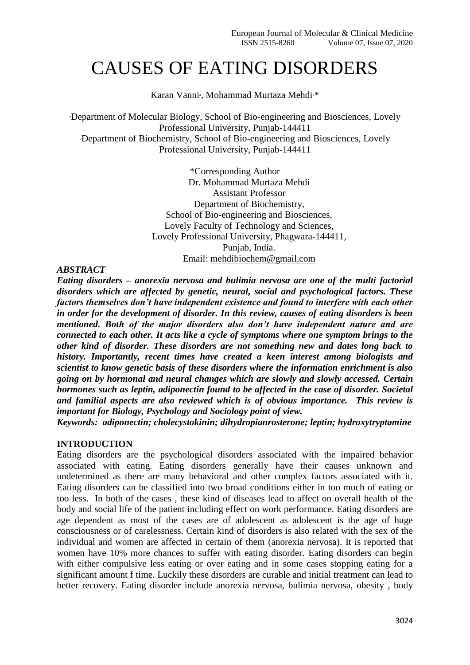# CAUSES OF EATING DISORDERS

Karan Vanni<sup>®</sup>, Mohammad Murtaza Mehdi<sup>®\*</sup>

<sup>a</sup>Department of Molecular Biology, School of Bio-engineering and Biosciences, Lovely Professional University, Punjab-144411 <sup>b</sup>Department of Biochemistry, School of Bio-engineering and Biosciences, Lovely Professional University, Punjab-144411

> \*Corresponding Author Dr. Mohammad Murtaza Mehdi Assistant Professor Department of Biochemistry, School of Bio-engineering and Biosciences, Lovely Faculty of Technology and Sciences, Lovely Professional University, Phagwara-144411, Punjab, India. Email: mehdibiochem@gmail.com

#### *ABSTRACT*

*Eating disorders – anorexia nervosa and bulimia nervosa are one of the multi factorial disorders which are affected by genetic, neural, social and psychological factors. These factors themselves don't have independent existence and found to interfere with each other in order for the development of disorder. In this review, causes of eating disorders is been mentioned. Both of the major disorders also don't have independent nature and are connected to each other. It acts like a cycle of symptoms where one symptom brings to the other kind of disorder. These disorders are not something new and dates long back to history. Importantly, recent times have created a keen interest among biologists and scientist to know genetic basis of these disorders where the information enrichment is also going on by hormonal and neural changes which are slowly and slowly accessed. Certain hormones such as leptin, adiponectin found to be affected in the case of disorder. Societal and familial aspects are also reviewed which is of obvious importance. This review is important for Biology, Psychology and Sociology point of view.*

*Keywords: adiponectin; cholecystokinin; dihydropianrosterone; leptin; hydroxytryptamine* 

#### **INTRODUCTION**

Eating disorders are the psychological disorders associated with the impaired behavior associated with eating. Eating disorders generally have their causes unknown and undetermined as there are many behavioral and other complex factors associated with it. Eating disorders can be classified into two broad conditions either in too much of eating or too less. In both of the cases , these kind of diseases lead to affect on overall health of the body and social life of the patient including effect on work performance. Eating disorders are age dependent as most of the cases are of adolescent as adolescent is the age of huge consciousness or of carelessness. Certain kind of disorders is also related with the sex of the individual and women are affected in certain of them (anorexia nervosa). It is reported that women have 10% more chances to suffer with eating disorder. Eating disorders can begin with either compulsive less eating or over eating and in some cases stopping eating for a significant amount f time. Luckily these disorders are curable and initial treatment can lead to better recovery. Eating disorder include anorexia nervosa, bulimia nervosa, obesity , body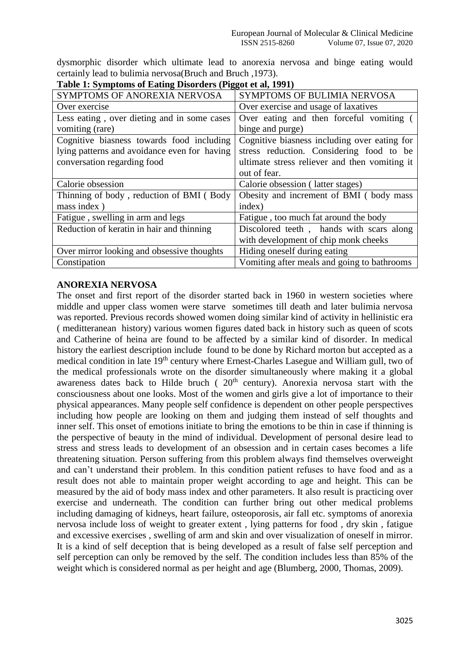dysmorphic disorder which ultimate lead to anorexia nervosa and binge eating would certainly lead to bulimia nervosa(Bruch and Bruch ,1973).

| SYMPTOMS OF ANOREXIA NERVOSA                 | SYMPTOMS OF BULIMIA NERVOSA                   |
|----------------------------------------------|-----------------------------------------------|
| Over exercise                                | Over exercise and usage of laxatives          |
| Less eating, over dieting and in some cases  | Over eating and then forceful vomiting (      |
| vomiting (rare)                              | binge and purge)                              |
| Cognitive biasness towards food including    | Cognitive biasness including over eating for  |
| lying patterns and avoidance even for having | stress reduction. Considering food to be      |
| conversation regarding food                  | ultimate stress reliever and then vomiting it |
|                                              | out of fear.                                  |
|                                              |                                               |
| Calorie obsession                            | Calorie obsession (latter stages)             |
| Thinning of body, reduction of BMI (Body     | Obesity and increment of BMI (body mass       |
| mass index)                                  | index)                                        |
| Fatigue, swelling in arm and legs            | Fatigue, too much fat around the body         |
| Reduction of keratin in hair and thinning    | Discolored teeth, hands with scars along      |
|                                              | with development of chip monk cheeks          |
| Over mirror looking and obsessive thoughts   | Hiding oneself during eating                  |

**Table 1: Symptoms of Eating Disorders (Piggot et al, 1991)**

# **ANOREXIA NERVOSA**

The onset and first report of the disorder started back in 1960 in western societies where middle and upper class women were starve sometimes till death and later bulimia nervosa was reported. Previous records showed women doing similar kind of activity in hellinistic era ( meditteranean history) various women figures dated back in history such as queen of scots and Catherine of heina are found to be affected by a similar kind of disorder. In medical history the earliest description include found to be done by Richard morton but accepted as a medical condition in late 19th century where Ernest-Charles Lasegue and William gull, two of the medical professionals wrote on the disorder simultaneously where making it a global awareness dates back to Hilde bruch ( $20<sup>th</sup>$  century). Anorexia nervosa start with the consciousness about one looks. Most of the women and girls give a lot of importance to their physical appearances. Many people self confidence is dependent on other people perspectives including how people are looking on them and judging them instead of self thoughts and inner self. This onset of emotions initiate to bring the emotions to be thin in case if thinning is the perspective of beauty in the mind of individual. Development of personal desire lead to stress and stress leads to development of an obsession and in certain cases becomes a life threatening situation. Person suffering from this problem always find themselves overweight and can't understand their problem. In this condition patient refuses to have food and as a result does not able to maintain proper weight according to age and height. This can be measured by the aid of body mass index and other parameters. It also result is practicing over exercise and underneath. The condition can further bring out other medical problems including damaging of kidneys, heart failure, osteoporosis, air fall etc. symptoms of anorexia nervosa include loss of weight to greater extent , lying patterns for food , dry skin , fatigue and excessive exercises , swelling of arm and skin and over visualization of oneself in mirror. It is a kind of self deception that is being developed as a result of false self perception and self perception can only be removed by the self. The condition includes less than 85% of the weight which is considered normal as per height and age (Blumberg, 2000, Thomas, 2009).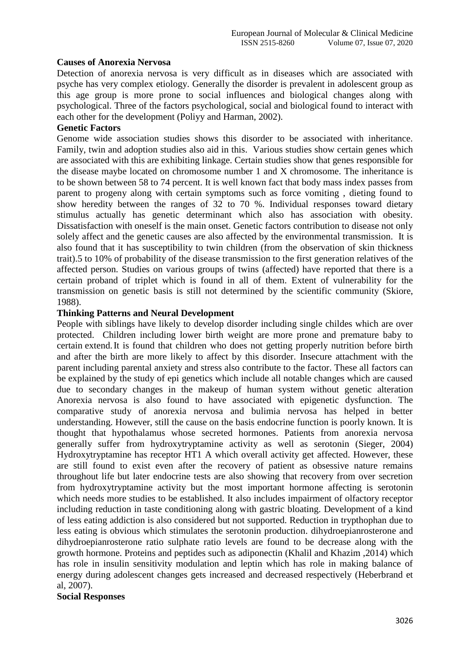# **Causes of Anorexia Nervosa**

Detection of anorexia nervosa is very difficult as in diseases which are associated with psyche has very complex etiology. Generally the disorder is prevalent in adolescent group as this age group is more prone to social influences and biological changes along with psychological. Three of the factors psychological, social and biological found to interact with each other for the development (Poliyy and Harman, 2002).

# **Genetic Factors**

Genome wide association studies shows this disorder to be associated with inheritance. Family, twin and adoption studies also aid in this. Various studies show certain genes which are associated with this are exhibiting linkage. Certain studies show that genes responsible for the disease maybe located on chromosome number 1 and X chromosome. The inheritance is to be shown between 58 to 74 percent. It is well known fact that body mass index passes from parent to progeny along with certain symptoms such as force vomiting , dieting found to show heredity between the ranges of 32 to 70 %. Individual responses toward dietary stimulus actually has genetic determinant which also has association with obesity. Dissatisfaction with oneself is the main onset. Genetic factors contribution to disease not only solely affect and the genetic causes are also affected by the environmental transmission. It is also found that it has susceptibility to twin children (from the observation of skin thickness trait).5 to 10% of probability of the disease transmission to the first generation relatives of the affected person. Studies on various groups of twins (affected) have reported that there is a certain proband of triplet which is found in all of them. Extent of vulnerability for the transmission on genetic basis is still not determined by the scientific community (Skiore, 1988).

# **Thinking Patterns and Neural Development**

People with siblings have likely to develop disorder including single childes which are over protected. Children including lower birth weight are more prone and premature baby to certain extend.It is found that children who does not getting properly nutrition before birth and after the birth are more likely to affect by this disorder. Insecure attachment with the parent including parental anxiety and stress also contribute to the factor. These all factors can be explained by the study of epi genetics which include all notable changes which are caused due to secondary changes in the makeup of human system without genetic alteration Anorexia nervosa is also found to have associated with epigenetic dysfunction. The comparative study of anorexia nervosa and bulimia nervosa has helped in better understanding. However, still the cause on the basis endocrine function is poorly known. It is thought that hypothalamus whose secreted hormones. Patients from anorexia nervosa generally suffer from hydroxytryptamine activity as well as serotonin (Sieger, 2004) Hydroxytryptamine has receptor HT1 A which overall activity get affected. However, these are still found to exist even after the recovery of patient as obsessive nature remains throughout life but later endocrine tests are also showing that recovery from over secretion from hydroxytryptamine activity but the most important hormone affecting is serotonin which needs more studies to be established. It also includes impairment of olfactory receptor including reduction in taste conditioning along with gastric bloating. Development of a kind of less eating addiction is also considered but not supported. Reduction in trypthophan due to less eating is obvious which stimulates the serotonin production. dihydroepianrosterone and dihydroepianrosterone ratio sulphate ratio levels are found to be decrease along with the growth hormone. Proteins and peptides such as adiponectin (Khalil and Khazim ,2014) which has role in insulin sensitivity modulation and leptin which has role in making balance of energy during adolescent changes gets increased and decreased respectively (Heberbrand et al, 2007).

# **Social Responses**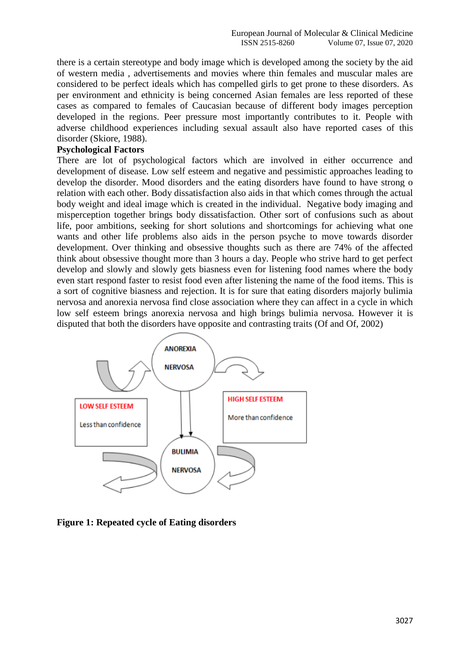there is a certain stereotype and body image which is developed among the society by the aid of western media , advertisements and movies where thin females and muscular males are considered to be perfect ideals which has compelled girls to get prone to these disorders. As per environment and ethnicity is being concerned Asian females are less reported of these cases as compared to females of Caucasian because of different body images perception developed in the regions. Peer pressure most importantly contributes to it. People with adverse childhood experiences including sexual assault also have reported cases of this disorder (Skiore, 1988).

#### **Psychological Factors**

There are lot of psychological factors which are involved in either occurrence and development of disease. Low self esteem and negative and pessimistic approaches leading to develop the disorder. Mood disorders and the eating disorders have found to have strong o relation with each other. Body dissatisfaction also aids in that which comes through the actual body weight and ideal image which is created in the individual. Negative body imaging and misperception together brings body dissatisfaction. Other sort of confusions such as about life, poor ambitions, seeking for short solutions and shortcomings for achieving what one wants and other life problems also aids in the person psyche to move towards disorder development. Over thinking and obsessive thoughts such as there are 74% of the affected think about obsessive thought more than 3 hours a day. People who strive hard to get perfect develop and slowly and slowly gets biasness even for listening food names where the body even start respond faster to resist food even after listening the name of the food items. This is a sort of cognitive biasness and rejection. It is for sure that eating disorders majorly bulimia nervosa and anorexia nervosa find close association where they can affect in a cycle in which low self esteem brings anorexia nervosa and high brings bulimia nervosa. However it is disputed that both the disorders have opposite and contrasting traits (Of and Of, 2002)



**Figure 1: Repeated cycle of Eating disorders**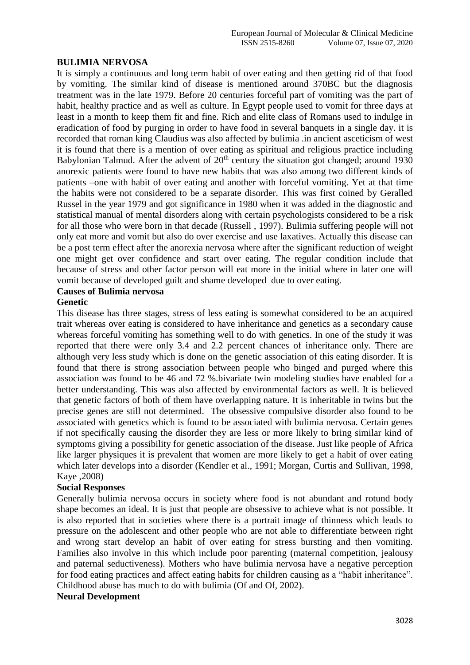# **BULIMIA NERVOSA**

It is simply a continuous and long term habit of over eating and then getting rid of that food by vomiting. The similar kind of disease is mentioned around 370BC but the diagnosis treatment was in the late 1979. Before 20 centuries forceful part of vomiting was the part of habit, healthy practice and as well as culture. In Egypt people used to vomit for three days at least in a month to keep them fit and fine. Rich and elite class of Romans used to indulge in eradication of food by purging in order to have food in several banquets in a single day. it is recorded that roman king Claudius was also affected by bulimia .in ancient asceticism of west it is found that there is a mention of over eating as spiritual and religious practice including Babylonian Talmud. After the advent of  $20<sup>th</sup>$  century the situation got changed; around 1930 anorexic patients were found to have new habits that was also among two different kinds of patients –one with habit of over eating and another with forceful vomiting. Yet at that time the habits were not considered to be a separate disorder. This was first coined by Geralled Russel in the year 1979 and got significance in 1980 when it was added in the diagnostic and statistical manual of mental disorders along with certain psychologists considered to be a risk for all those who were born in that decade (Russell , 1997). Bulimia suffering people will not only eat more and vomit but also do over exercise and use laxatives. Actually this disease can be a post term effect after the anorexia nervosa where after the significant reduction of weight one might get over confidence and start over eating. The regular condition include that because of stress and other factor person will eat more in the initial where in later one will vomit because of developed guilt and shame developed due to over eating.

# **Causes of Bulimia nervosa**

#### **Genetic**

This disease has three stages, stress of less eating is somewhat considered to be an acquired trait whereas over eating is considered to have inheritance and genetics as a secondary cause whereas forceful vomiting has something well to do with genetics. In one of the study it was reported that there were only 3.4 and 2.2 percent chances of inheritance only. There are although very less study which is done on the genetic association of this eating disorder. It is found that there is strong association between people who binged and purged where this association was found to be 46 and 72 %.bivariate twin modeling studies have enabled for a better understanding. This was also affected by environmental factors as well. It is believed that genetic factors of both of them have overlapping nature. It is inheritable in twins but the precise genes are still not determined. The obsessive compulsive disorder also found to be associated with genetics which is found to be associated with bulimia nervosa. Certain genes if not specifically causing the disorder they are less or more likely to bring similar kind of symptoms giving a possibility for genetic association of the disease. Just like people of Africa like larger physiques it is prevalent that women are more likely to get a habit of over eating which later develops into a disorder (Kendler et al., 1991; Morgan, Curtis and Sullivan, 1998, Kaye ,2008)

# **Social Responses**

Generally bulimia nervosa occurs in society where food is not abundant and rotund body shape becomes an ideal. It is just that people are obsessive to achieve what is not possible. It is also reported that in societies where there is a portrait image of thinness which leads to pressure on the adolescent and other people who are not able to differentiate between right and wrong start develop an habit of over eating for stress bursting and then vomiting. Families also involve in this which include poor parenting (maternal competition, jealousy and paternal seductiveness). Mothers who have bulimia nervosa have a negative perception for food eating practices and affect eating habits for children causing as a "habit inheritance". Childhood abuse has much to do with bulimia (Of and Of, 2002).

#### **Neural Development**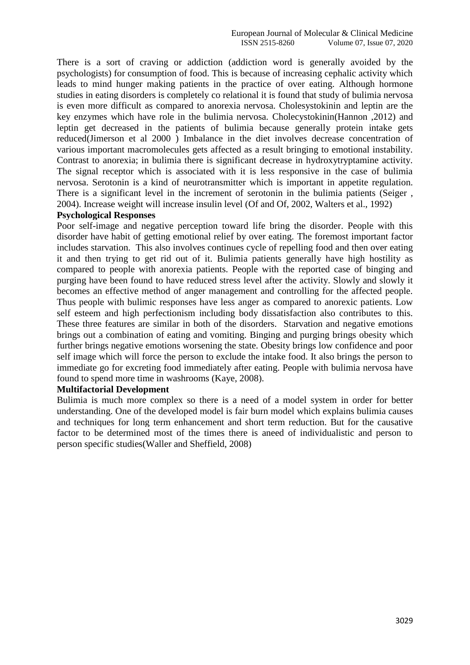There is a sort of craving or addiction (addiction word is generally avoided by the psychologists) for consumption of food. This is because of increasing cephalic activity which leads to mind hunger making patients in the practice of over eating. Although hormone studies in eating disorders is completely co relational it is found that study of bulimia nervosa is even more difficult as compared to anorexia nervosa. Cholesystokinin and leptin are the key enzymes which have role in the bulimia nervosa. Cholecystokinin(Hannon ,2012) and leptin get decreased in the patients of bulimia because generally protein intake gets reduced(Jimerson et al 2000 ) Imbalance in the diet involves decrease concentration of various important macromolecules gets affected as a result bringing to emotional instability. Contrast to anorexia; in bulimia there is significant decrease in hydroxytryptamine activity. The signal receptor which is associated with it is less responsive in the case of bulimia nervosa. Serotonin is a kind of neurotransmitter which is important in appetite regulation. There is a significant level in the increment of serotonin in the bulimia patients (Seiger , 2004). Increase weight will increase insulin level (Of and Of, 2002, Walters et al., 1992)

#### **Psychological Responses**

Poor self-image and negative perception toward life bring the disorder. People with this disorder have habit of getting emotional relief by over eating. The foremost important factor includes starvation. This also involves continues cycle of repelling food and then over eating it and then trying to get rid out of it. Bulimia patients generally have high hostility as compared to people with anorexia patients. People with the reported case of binging and purging have been found to have reduced stress level after the activity. Slowly and slowly it becomes an effective method of anger management and controlling for the affected people. Thus people with bulimic responses have less anger as compared to anorexic patients. Low self esteem and high perfectionism including body dissatisfaction also contributes to this. These three features are similar in both of the disorders. Starvation and negative emotions brings out a combination of eating and vomiting. Binging and purging brings obesity which further brings negative emotions worsening the state. Obesity brings low confidence and poor self image which will force the person to exclude the intake food. It also brings the person to immediate go for excreting food immediately after eating. People with bulimia nervosa have found to spend more time in washrooms (Kaye, 2008).

#### **Multifactorial Development**

Bulimia is much more complex so there is a need of a model system in order for better understanding. One of the developed model is fair burn model which explains bulimia causes and techniques for long term enhancement and short term reduction. But for the causative factor to be determined most of the times there is aneed of individualistic and person to person specific studies(Waller and Sheffield, 2008)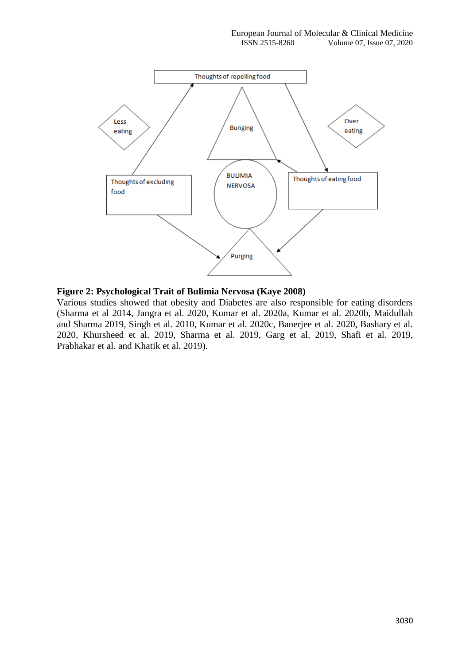

# **Figure 2: Psychological Trait of Bulimia Nervosa (Kaye 2008)**

Various studies showed that obesity and Diabetes are also responsible for eating disorders (Sharma et al 2014, Jangra et al. 2020, Kumar et al. 2020a, Kumar et al. 2020b, Maidullah and Sharma 2019, Singh et al. 2010, Kumar et al. 2020c, Banerjee et al. 2020, Bashary et al. 2020, Khursheed et al. 2019, Sharma et al. 2019, Garg et al. 2019, Shafi et al. 2019, Prabhakar et al. and Khatik et al. 2019).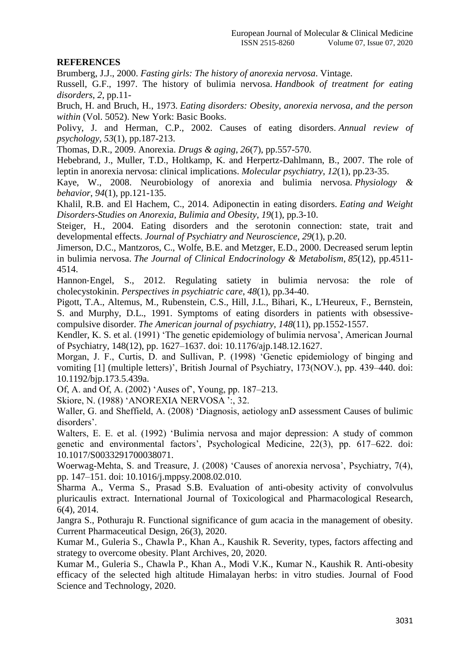# **REFERENCES**

Brumberg, J.J., 2000. *Fasting girls: The history of anorexia nervosa*. Vintage.

Russell, G.F., 1997. The history of bulimia nervosa. *Handbook of treatment for eating disorders*, *2*, pp.11-

Bruch, H. and Bruch, H., 1973. *Eating disorders: Obesity, anorexia nervosa, and the person within* (Vol. 5052). New York: Basic Books.

Polivy, J. and Herman, C.P., 2002. Causes of eating disorders. *Annual review of psychology*, *53*(1), pp.187-213.

Thomas, D.R., 2009. Anorexia. *Drugs & aging*, *26*(7), pp.557-570.

Hebebrand, J., Muller, T.D., Holtkamp, K. and Herpertz-Dahlmann, B., 2007. The role of leptin in anorexia nervosa: clinical implications. *Molecular psychiatry*, *12*(1), pp.23-35.

Kaye, W., 2008. Neurobiology of anorexia and bulimia nervosa. *Physiology & behavior*, *94*(1), pp.121-135.

Khalil, R.B. and El Hachem, C., 2014. Adiponectin in eating disorders. *Eating and Weight Disorders-Studies on Anorexia, Bulimia and Obesity*, *19*(1), pp.3-10.

Steiger, H., 2004. Eating disorders and the serotonin connection: state, trait and developmental effects. *Journal of Psychiatry and Neuroscience*, *29*(1), p.20.

Jimerson, D.C., Mantzoros, C., Wolfe, B.E. and Metzger, E.D., 2000. Decreased serum leptin in bulimia nervosa. *The Journal of Clinical Endocrinology & Metabolism*, *85*(12), pp.4511- 4514.

Hannon‐Engel, S., 2012. Regulating satiety in bulimia nervosa: the role of cholecystokinin. *Perspectives in psychiatric care*, *48*(1), pp.34-40.

Pigott, T.A., Altemus, M., Rubenstein, C.S., Hill, J.L., Bihari, K., L'Heureux, F., Bernstein, S. and Murphy, D.L., 1991. Symptoms of eating disorders in patients with obsessivecompulsive disorder. *The American journal of psychiatry*, *148*(11), pp.1552-1557.

Kendler, K. S. et al. (1991) 'The genetic epidemiology of bulimia nervosa', American Journal of Psychiatry, 148(12), pp. 1627–1637. doi: 10.1176/ajp.148.12.1627.

Morgan, J. F., Curtis, D. and Sullivan, P. (1998) 'Genetic epidemiology of binging and vomiting [1] (multiple letters)', British Journal of Psychiatry, 173(NOV.), pp. 439–440. doi: 10.1192/bjp.173.5.439a.

Of, A. and Of, A. (2002) 'Auses of', Young, pp. 187–213.

Skiore, N. (1988) 'ANOREXIA NERVOSA ':, 32.

Waller, G. and Sheffield, A. (2008) 'Diagnosis, aetiology anD assessment Causes of bulimic disorders'.

Walters, E. E. et al. (1992) 'Bulimia nervosa and major depression: A study of common genetic and environmental factors', Psychological Medicine, 22(3), pp. 617–622. doi: 10.1017/S0033291700038071.

Woerwag-Mehta, S. and Treasure, J. (2008) 'Causes of anorexia nervosa', Psychiatry, 7(4), pp. 147–151. doi: 10.1016/j.mppsy.2008.02.010.

Sharma A., Verma S., Prasad S.B. Evaluation of anti-obesity activity of convolvulus pluricaulis extract. International Journal of Toxicological and Pharmacological Research, 6(4), 2014.

Jangra S., Pothuraju R. Functional significance of gum acacia in the management of obesity. Current Pharmaceutical Design, 26(3), 2020.

Kumar M., Guleria S., Chawla P., Khan A., Kaushik R. Severity, types, factors affecting and strategy to overcome obesity. Plant Archives, 20, 2020.

Kumar M., Guleria S., Chawla P., Khan A., Modi V.K., Kumar N., Kaushik R. Anti-obesity efficacy of the selected high altitude Himalayan herbs: in vitro studies. Journal of Food Science and Technology, 2020.